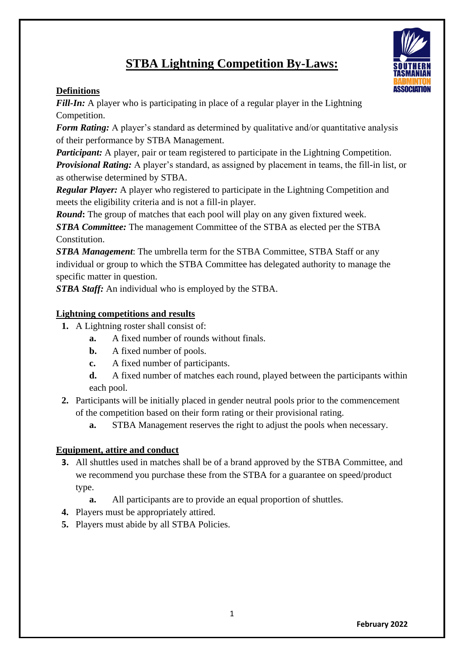# **STBA Lightning Competition By-Laws:**

## **Definitions**

*Fill-In:* A player who is participating in place of a regular player in the Lightning Competition.

*Form Rating:* A player's standard as determined by qualitative and/or quantitative analysis of their performance by STBA Management.

*Participant:* A player, pair or team registered to participate in the Lightning Competition. *Provisional Rating:* A player's standard, as assigned by placement in teams, the fill-in list, or as otherwise determined by STBA.

*Regular Player:* A player who registered to participate in the Lightning Competition and meets the eligibility criteria and is not a fill-in player.

*Round*: The group of matches that each pool will play on any given fixtured week. *STBA Committee:* The management Committee of the STBA as elected per the STBA Constitution.

*STBA Management*: The umbrella term for the STBA Committee, STBA Staff or any individual or group to which the STBA Committee has delegated authority to manage the specific matter in question.

*STBA Staff:* An individual who is employed by the STBA.

## **Lightning competitions and results**

- **1.** A Lightning roster shall consist of:
	- **a.** A fixed number of rounds without finals.
	- **b.** A fixed number of pools.
	- **c.** A fixed number of participants.
	- **d.** A fixed number of matches each round, played between the participants within each pool.
- **2.** Participants will be initially placed in gender neutral pools prior to the commencement of the competition based on their form rating or their provisional rating.
	- **a.** STBA Management reserves the right to adjust the pools when necessary.

## **Equipment, attire and conduct**

- **3.** All shuttles used in matches shall be of a brand approved by the STBA Committee, and we recommend you purchase these from the STBA for a guarantee on speed/product type.
	- **a.** All participants are to provide an equal proportion of shuttles.
- **4.** Players must be appropriately attired.
- **5.** Players must abide by all STBA Policies.

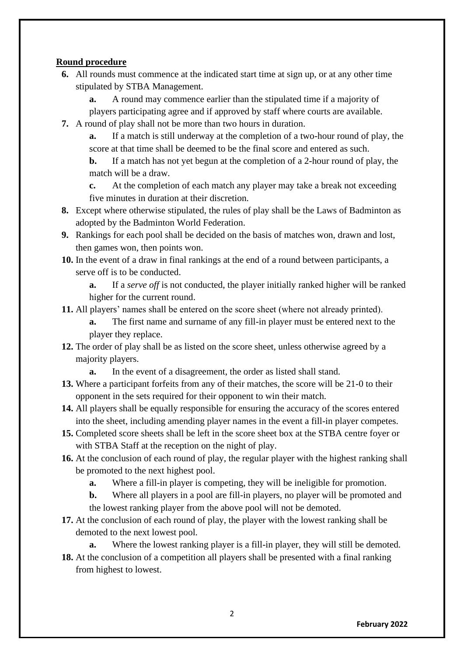### **Round procedure**

**6.** All rounds must commence at the indicated start time at sign up, or at any other time stipulated by STBA Management.

**a.** A round may commence earlier than the stipulated time if a majority of players participating agree and if approved by staff where courts are available.

**7.** A round of play shall not be more than two hours in duration.

**a.** If a match is still underway at the completion of a two-hour round of play, the score at that time shall be deemed to be the final score and entered as such.

**b.** If a match has not yet begun at the completion of a 2-hour round of play, the match will be a draw.

**c.** At the completion of each match any player may take a break not exceeding five minutes in duration at their discretion.

- **8.** Except where otherwise stipulated, the rules of play shall be the Laws of Badminton as adopted by the Badminton World Federation.
- **9.** Rankings for each pool shall be decided on the basis of matches won, drawn and lost, then games won, then points won.
- **10.** In the event of a draw in final rankings at the end of a round between participants, a serve off is to be conducted.

**a.** If a *serve off* is not conducted, the player initially ranked higher will be ranked higher for the current round.

**11.** All players' names shall be entered on the score sheet (where not already printed).

**a.** The first name and surname of any fill-in player must be entered next to the player they replace.

- **12.** The order of play shall be as listed on the score sheet, unless otherwise agreed by a majority players.
	- **a.** In the event of a disagreement, the order as listed shall stand.
- **13.** Where a participant forfeits from any of their matches, the score will be 21-0 to their opponent in the sets required for their opponent to win their match.
- **14.** All players shall be equally responsible for ensuring the accuracy of the scores entered into the sheet, including amending player names in the event a fill-in player competes.
- **15.** Completed score sheets shall be left in the score sheet box at the STBA centre foyer or with STBA Staff at the reception on the night of play.
- **16.** At the conclusion of each round of play, the regular player with the highest ranking shall be promoted to the next highest pool.
	- **a.** Where a fill-in player is competing, they will be ineligible for promotion.

**b.** Where all players in a pool are fill-in players, no player will be promoted and the lowest ranking player from the above pool will not be demoted.

**17.** At the conclusion of each round of play, the player with the lowest ranking shall be demoted to the next lowest pool.

**a.** Where the lowest ranking player is a fill-in player, they will still be demoted.

**18.** At the conclusion of a competition all players shall be presented with a final ranking from highest to lowest.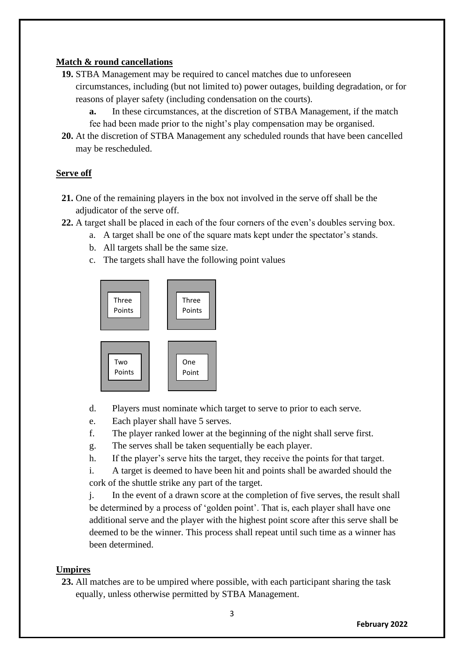### **Match & round cancellations**

- **19.** STBA Management may be required to cancel matches due to unforeseen circumstances, including (but not limited to) power outages, building degradation, or for reasons of player safety (including condensation on the courts).
	- **a.** In these circumstances, at the discretion of STBA Management, if the match fee had been made prior to the night's play compensation may be organised.
- **20.** At the discretion of STBA Management any scheduled rounds that have been cancelled may be rescheduled.

## **Serve off**

- **21.** One of the remaining players in the box not involved in the serve off shall be the adjudicator of the serve off.
- **22.** A target shall be placed in each of the four corners of the even's doubles serving box.
	- a. A target shall be one of the square mats kept under the spectator's stands.
	- b. All targets shall be the same size.
	- c. The targets shall have the following point values



- d. Players must nominate which target to serve to prior to each serve.
- e. Each player shall have 5 serves.
- f. The player ranked lower at the beginning of the night shall serve first.
- g. The serves shall be taken sequentially be each player.
- h. If the player's serve hits the target, they receive the points for that target.
- i. A target is deemed to have been hit and points shall be awarded should the cork of the shuttle strike any part of the target.

j. In the event of a drawn score at the completion of five serves, the result shall be determined by a process of 'golden point'. That is, each player shall have one additional serve and the player with the highest point score after this serve shall be deemed to be the winner. This process shall repeat until such time as a winner has been determined.

## **Umpires**

**23.** All matches are to be umpired where possible, with each participant sharing the task equally, unless otherwise permitted by STBA Management.